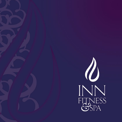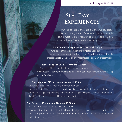#### Book today: 0191 201 9965

# **Spa Day Experiences**

Our spa day experiences are a wonderful day escape that lets you enjoy a set of treatments with full use of the leisure facilities, use of robe, towels and slippers as well as some food served in the Hotel's open lobby.

### **Pure Pamper - £50 per person 10am until 5.30pm**

Choice of either a light lunch or a mini afternoon tea/. 30 minute treatment from the choice of; back, neck and shoulder massage, scalp massage, leg and foot massage or a Elemis taster facial

### **Refresh and Revive - £75 10am until 5.30pm**

Choice of either a light lunch or a mini afternoon tea. 60 minutes of treatment time including a Frangipani body nectar nourishing wrap and mini Elemis taster facial.

## **Pure Harmony - £75 per person 10am until 5.30pm**

Choice of either a light lunch or a mini afternoon tea. 60 minutes of treatment time from the choice of either two of the following; back, neck and shoulder massage, scalp massage, leg and foot massage or a Elemis taster facial or one of the following; Full body massage or Elemis skin specific facial.

## **Pure Escape - £95 per person 10am until 5.30pm**

Choice of either a light lunch or a mini afternoon tea. 90 minutes of treatment time from the choice of; full body massage and Elemis taster facial, Elemis skin specific facial and back, neck shoulder massage or a Elemis taster facial and leg and foot massage.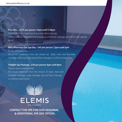#### **Pure Bliss - £115 per person 10am until 5.30pm**

Choice of either a light lunch or a mini afternoon tea. 120 minutes of treatment time including a full body massage and Elemis skin specific facial.

## **Mini Afternoon Tea Spa Day - £45 per person 12pm until 5pm**

A mini afternoon tea.

30 minute treatment from the choice of; back, neck and shoulder massage, scalp massage, leg and foot massage or a Elemis taster facial.

### **Twilight Spa Package - £50 per person 4pm until 8pm**

Pizza or pasta evening meal. 30 minute treatment from the choice of; back, neck and shoulder massage, scalp massage, leg and foot massage or a Elemis taster facial.





**CONTACT THE SPA FOR OUR SEASONAL & ADDITIONAL SPA DAY OFFERS.**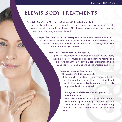# **Elemis Body Treatments**

#### **Freestyle Deep Tissue Massage - 30 minutes £35 l 60 minutes £65**

Your therapist will select a aromatic oil according to your concerns, including muscle pain, stress relief, relaxation or balance. The flowing massage works deep into the tension, encouraging optimum circulation.

#### **Deeper Than Deep Hot Stone Massage - 30 minutes £40 l 60 minutes £75**

Balinese stones bathed in Frangipani Monoi Body Oil are worked deep into the muscles, targeting areas of tension. The result is sparkling vitality with the bonus of intensely hydrated skin.

#### **Hot Mineral Body Boost - 60 minutes £70**

A powerful treatment to stimulate every cell in the body, helping alleviate muscular pain and remove toxins. This is a revolutionary, minerally-charged experience of skin conditioning, metabolic balancing and energising wellness.

## **Garden of England Rose Restore 60 minutes £70 l 90 minutes £90**

Take a walk in an English rose garden with this lavishly hydrating body massage. The unique blend of oils leave skin exquisitely moisturised, intensely supple and delicately scented.

## **Frangipani Body Nectar Nourishing Wrap 60 minutes £70**

The velvety texture of Moni Oil offers intense hydration to quench thirsty skin. You are kept cocooned in warmth whilst the mood-balancing aromatics and skin-conditioning oils perform their magic.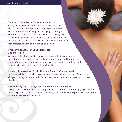**Thousand Flower Detox Wrap - 60 minutes £70** Omega-rich Green Tea seed oil is massaged into the skin followed by the thousand flower, vitamin-packed, super nutritious earth wrap encouraging the body to surrender its toxins. A nourishing Green Tea balm, rich in minerals, proteins and Omegas - the super-foods of the skin - is the final touch, leaving you feeling completely reinvigorated and the body firing on all cylinders.

### **Intensely Cleansing Salt Scrub - Frangipani 30 minutes £40**

An exotic exfoliation ritual to nourish and cocoon the body in moisture, while buffing the skin to reveal a radiant, renewed glow and harmonized mind. Warmed oil is dripped sparingly over the body, Exotic Lime and Ginger Salt Glow cleanses and Polishes the Skin.

### **Intensely Cleansing Salt Scrub - Lime and Ginger - 30 minutes £40**

An exotic exfoliation ritual to invigorate and bring vitality to the body. Warm oils is dripped sparingly over the body, Exotic Frangipani Salt Scrub cleanses and polishes the Skin.

#### **Peaceful Pregnancy Massage - 30 minutes £40 l 75 minutes £80**

This intuitive, restorative and relaxing massage for mothers-to-be deeply hydrates skin that is expanding to accommodate a growing baby. Aromatics are specifically selected for optimum wellness and deep calm.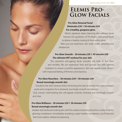# **Elemis Pro-Glow Facials**

# **Pro-Glow Renewal Facial 30minutes £39 l 50 minutes £59 For a healthy, gorgeous glow.**

Elemis signature deep cleansing skin wellness facial harness the goodness of Pre-biotics and antioxidants to deliver a healthy looking lit from within glow. After just one treatment, skin looks visibly refreshed and rebalanced.

# **Pro-Glow Smooth – 30 minutes £39 l 50 minutes £59 The ultimate HIIT workout for your skin.**

This powerful anti-ageing facial smooths the look of fine lines and wrinkles, fills out expression lines and plumps skin with optimal hydration to reveal a youthful appearance. Skin will appear more vibrant, with improved feeling of firmness and elasticity.

# **Pro-Glow Resurface – 30 minutes £39 l 50 minutes £59 Reveal stunningly smooth skin**.

Transform the skin's texture whilst minimising the look of uneven skin tone, enlarged pores and congestion for a renewed, stunningly smooth complexion.

Dull, uneven, tired-looking skin will appear instantly renewed and stunningly smooth and clear.

# **Pro-Glow Brilliance – 30 minutes £39 l 50 minutes £59 Reveal stunningly smooth skin**

Awaken dull, lacklustre looking skin with this radiance boosting facial for a visibly brighter, glowing complexion. Immediately revealing a super-healthy complexion, you'll look and feel more radiant, relaxed and glowing.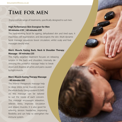# **Time for men**

Enjoy a whole range of treatments, specifically designed to suit men.

## **High Performance Skin Energiser for Men 30 minutes £39 | 60 minutes £59**

The hard-working facial for ageing, dehydrated skin and tired eyes. It maximises cell regeneration, and decongests the skin. Multi-dynamic facial massage sequences boost circulation, whilst scalp and foot massages deeply relax.

# **Men's Muscle Easing Back, Neck & Shoulder Therapy Massage - 30 minutes £35**

This highly targeted treatment focuses on releasing tension in the back and shoulders. Intensely destressing this powerful massage helps to break down and disperse all aches and pains caused by tight muscle.

## **Men's Muscle Easing Therapy Massage - 60 minutes £65**

This intense therapeutic massage help to deep stress tense muscles around the whole body. Using a potent ELEMIS oil, this massage can be tailored to suit the needs of each concern. This massage encourages relaxation, relieves stress, improves circulation and relaxes muscles. It is also good for relieving tension headaches, improving flexibility and can help to strengthen the immune system.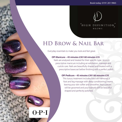

# **HD Brow & Nail Bar**

Everyday essentials to make you look and feel great.

## **OPI Manicure – 45 minutes £30 l 60 minutes £35**

Nails are analysed and treated for their specific type. Jessica's prescriptive manicure including an exfoliation, massage and cuticle care. Nails are beautifully shaped and treated with a prescriptive basecoat before finishing with a perfect polish.

#### **OPI Pedicure – 45 minutes £30 l 60 minutes £35**

This luxury treatment includes hard skin removal, a foot and leg massage with deep conditioning creams leaving your skin softer and smoother. Your cuticles will be groomed and your toenails will be beautiful shaped and perfectly polished.

# $O \cdot P \cdot I$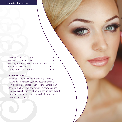Halo Gel Polish - 35 minutes **£26** Gel Removal - 20 minutes  $f10$ Gel Upgrade to any Manicure or Pedicure £15 OPI Shape & Polish **Election** E15 Inn Spa French Shape & Polish **E20** 

### **HD Brows - £29**

(patch test required 48 hours prior to treatment) HD Brows is a bespoke eyebrow treatment that is completely personalised to you. So much more than a standard eyebrow wax and tint; our custom-blended colour, precise hair removal, unique design formula and make up application creates brows that complement you and your style.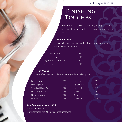### Book today: 0191 201 9965

# **Finishing Touches**

Whether it is a special occasion or your regular treat, our team of therapists will ensure you are always looking your best.

> $\mathsf{thin}$   $\mathsf{f6}$  $\ln$   $\frac{1}{10}$

 $Back$   $f35$ 

 $f20$  $f20$ 

## **Beautiful Eyes**

A patch test is required at least 24 hours prior to any of our beautiful eyes treatments.

| Eyebrow Tint           | £10  |
|------------------------|------|
| Eyelash Tint           | f 15 |
| Eyebrow & Eyelash Tint | £20  |
| Party Lashes           | f 15 |

### **Hot Waxing**

More effective than traditional waxing and much less painful

| Full Leg Wax        | £30 | Eyebrow      | f8 |
|---------------------|-----|--------------|----|
| Half Leg Wax        | £20 | Lip or Chin  | £6 |
| Standard Bikini Wax | f12 | Lip & Chin   | £1 |
| Full Leg & Bikini   | £36 | Chest        | £2 |
| Underarm Wax        | f12 | <b>Back</b>  | £2 |
| Forearm             | £15 | Chest & Back | £3 |

# **Semi Permanent Lashes - £35** Maintenance - £15 (Patch test required 24 hours prior to treatment)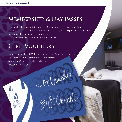# **Membership & Day Passes**

Our memberships are available from only £40 per month, giving you use of our extensive facilities, including a 15 metre indoor heated swimming pool, spa pool, steam room and sauna and fully equipped Cybex fitness suite. Day pass available for £10 per adult and £5 per child.

Cr. Of Journer

Voucher

# **Gift Vouchers**

Looking for the ideal gift? Why not purchase one of our gift vouchers for a treatment featured in this brochure? Ask a member of the team for more details or call the spa direct on 0191 201 9965.